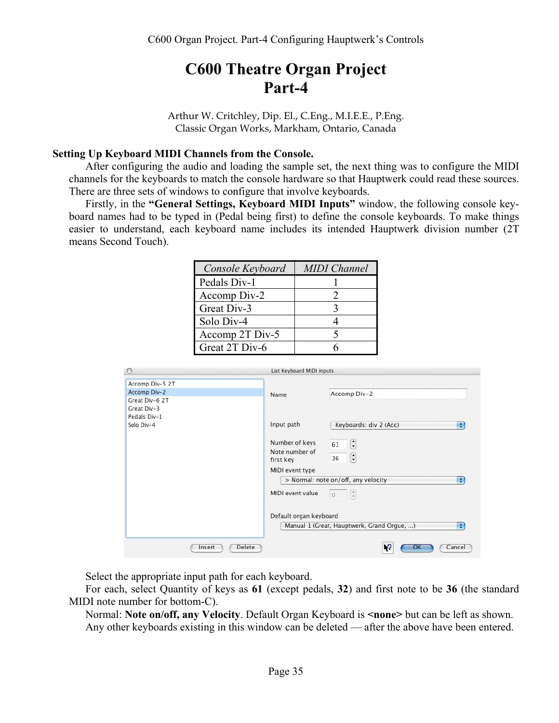# **C600 Theatre Organ Project Part-4**

Arthur W. Critchley, Dip. El., C.Eng., M.I.E.E., P.Eng. Classic Organ Works, Markham, Ontario, Canada

# **Setting Up Keyboard MIDI Channels from the Console.**

After configuring the audio and loading the sample set, the next thing was to configure the MIDI channels for the keyboards to match the console hardware so that Hauptwerk could read these sources. There are three sets of windows to configure that involve keyboards.

Firstly, in the **"General Settings, Keyboard MIDI Inputs"** window, the following console keyboard names had to be typed in (Pedal being first) to define the console keyboards. To make things easier to understand, each keyboard name includes its intended Hauptwerk division number (2T means Second Touch).

| Console Keyboard | <b>MIDI</b> Channel |
|------------------|---------------------|
| Pedals Div-1     |                     |
| Accomp Div-2     |                     |
| Great Div-3      |                     |
| Solo Div-4       |                     |
| Accomp 2T Div-5  |                     |
| Great 2T Div-6   |                     |

| ٠ |
|---|
|   |
| ÷ |
| H |
|   |

Select the appropriate input path for each keyboard.

For each, select Quantity of keys as **61** (except pedals, **32**) and first note to be **36** (the standard MIDI note number for bottom-C).

Normal: **Note on/off, any Velocity**. Default Organ Keyboard is **<none>** but can be left as shown. Any other keyboards existing in this window can be deleted — after the above have been entered.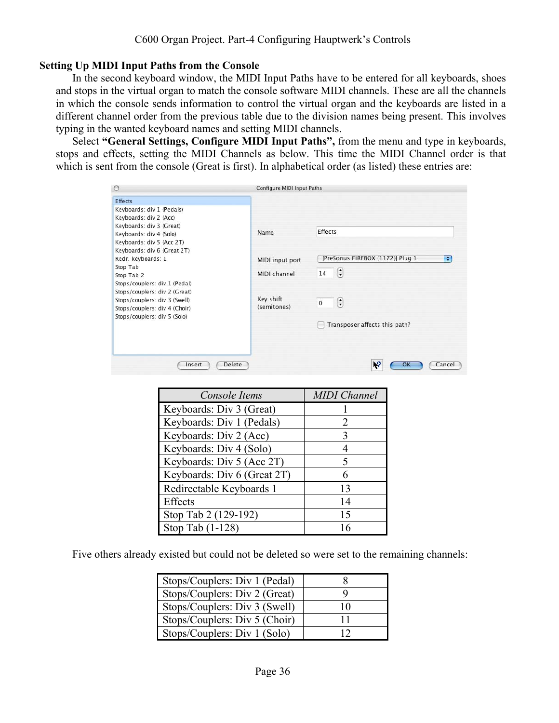# **Setting Up MIDI Input Paths from the Console**

In the second keyboard window, the MIDI Input Paths have to be entered for all keyboards, shoes and stops in the virtual organ to match the console software MIDI channels. These are all the channels in which the console sends information to control the virtual organ and the keyboards are listed in a different channel order from the previous table due to the division names being present. This involves typing in the wanted keyboard names and setting MIDI channels.

Select **"General Settings, Configure MIDI Input Paths",** from the menu and type in keyboards, stops and effects, setting the MIDI Channels as below. This time the MIDI Channel order is that which is sent from the console (Great is first). In alphabetical order (as listed) these entries are:

| $\circ$                                                                                                                                                   | Configure MIDI Input Paths      |                                                                     |
|-----------------------------------------------------------------------------------------------------------------------------------------------------------|---------------------------------|---------------------------------------------------------------------|
| <b>Effects</b><br>Keyboards: div 1 (Pedals)<br>Keyboards: div 2 (Acc)<br>Keyboards: div 3 (Great)<br>Keyboards: div 4 (Solo)<br>Keyboards: div 5 (Acc 2T) | Name                            | <b>Effects</b>                                                      |
| Keyboards: div 6 (Great 2T)<br>Redr. keyboards: 1<br>Stop Tab<br>Stop Tab 2<br>Stops/couplers: div 1 (Pedal)                                              | MIDI input port<br>MIDI channel | [PreSonus FIREBOX (1172)] Plug 1<br>H<br>$\left[\cdot\right]$<br>14 |
| Stops/couplers: div 2 (Great)<br>Stops/couplers: div 3 (Swell)<br>Stops/couplers: div 4 (Choir)<br>Stops/couplers: div 5 (Solo)                           | Key shift<br>(semitones)        | $\left[\frac{\bullet}{\bullet}\right]$<br>$\mathbf{0}$              |
| Insert                                                                                                                                                    | Delete                          | Transposer affects this path?<br>12<br>Cancel<br>OK                 |

| Console Items               | <b>MIDI</b> Channel         |
|-----------------------------|-----------------------------|
| Keyboards: Div 3 (Great)    |                             |
| Keyboards: Div 1 (Pedals)   | $\mathcal{D}_{\mathcal{L}}$ |
| Keyboards: Div 2 (Acc)      | 3                           |
| Keyboards: Div 4 (Solo)     |                             |
| Keyboards: Div 5 (Acc 2T)   | 5                           |
| Keyboards: Div 6 (Great 2T) | 6                           |
| Redirectable Keyboards 1    | 13                          |
| Effects                     | 14                          |
| Stop Tab 2 (129-192)        | 15                          |
| Stop Tab (1-128)            | 16                          |

Five others already existed but could not be deleted so were set to the remaining channels:

| Stops/Couplers: Div 1 (Pedal) |    |
|-------------------------------|----|
| Stops/Couplers: Div 2 (Great) |    |
| Stops/Couplers: Div 3 (Swell) | 10 |
| Stops/Couplers: Div 5 (Choir) |    |
| Stops/Couplers: Div 1 (Solo)  |    |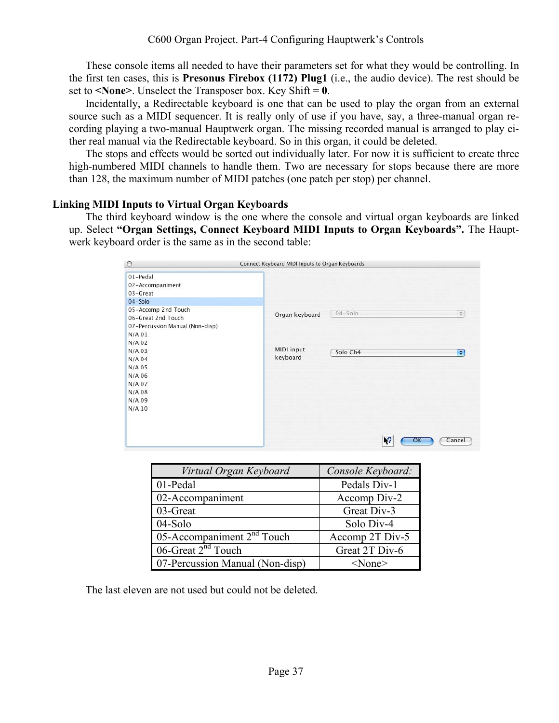These console items all needed to have their parameters set for what they would be controlling. In the first ten cases, this is **Presonus Firebox (1172) Plug1** (i.e., the audio device). The rest should be set to  $\leq$ **None** $\geq$ . Unselect the Transposer box. Key Shift = **0**.

Incidentally, a Redirectable keyboard is one that can be used to play the organ from an external source such as a MIDI sequencer. It is really only of use if you have, say, a three-manual organ recording playing a two-manual Hauptwerk organ. The missing recorded manual is arranged to play either real manual via the Redirectable keyboard. So in this organ, it could be deleted.

The stops and effects would be sorted out individually later. For now it is sufficient to create three high-numbered MIDI channels to handle them. Two are necessary for stops because there are more than 128, the maximum number of MIDI patches (one patch per stop) per channel.

## **Linking MIDI Inputs to Virtual Organ Keyboards**

The third keyboard window is the one where the console and virtual organ keyboards are linked up. Select **"Organ Settings, Connect Keyboard MIDI Inputs to Organ Keyboards".** The Hauptwerk keyboard order is the same as in the second table:

| $\circ$                                                                                            | Connect Keyboard MIDI Inputs to Organ Keyboards               |  |  |
|----------------------------------------------------------------------------------------------------|---------------------------------------------------------------|--|--|
| 01-Pedal<br>02-Accompaniment<br>03-Great<br>04-Solo                                                |                                                               |  |  |
| 05-Accomp 2nd Touch<br>06-Great 2nd Touch<br>07-Percussion Manual (Non-disp)<br>$N/A$ 01<br>N/A 02 | $04 - Solo$<br>$\left  \frac{1}{2} \right $<br>Organ keyboard |  |  |
| N/A 03<br>N/A 04<br>N/A 05<br>N/A 06<br>N/A 07<br>N/A 08<br>N/A 09<br>$N/A$ 10                     | MIDI input<br>Solo Ch4<br>$\div$<br>keyboard                  |  |  |
|                                                                                                    | 13<br>ок<br>Cancel                                            |  |  |

| Virtual Organ Keyboard          | Console Keyboard: |
|---------------------------------|-------------------|
| 01-Pedal                        | Pedals Div-1      |
| 02-Accompaniment                | Accomp Div-2      |
| 03-Great                        | Great Div-3       |
| 04-Solo                         | Solo Div-4        |
| 05-Accompaniment $2nd$ Touch    | Accomp 2T Div-5   |
| 06-Great $2nd$ Touch            | Great 2T Div-6    |
| 07-Percussion Manual (Non-disp) | $<$ None $>$      |

The last eleven are not used but could not be deleted.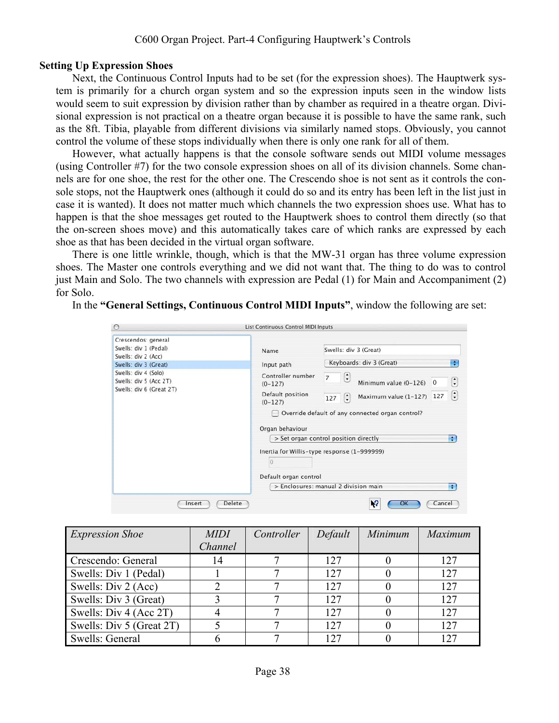#### C600 Organ Project. Part-4 Configuring Hauptwerk's Controls

#### **Setting Up Expression Shoes**

Next, the Continuous Control Inputs had to be set (for the expression shoes). The Hauptwerk system is primarily for a church organ system and so the expression inputs seen in the window lists would seem to suit expression by division rather than by chamber as required in a theatre organ. Divisional expression is not practical on a theatre organ because it is possible to have the same rank, such as the 8ft. Tibia, playable from different divisions via similarly named stops. Obviously, you cannot control the volume of these stops individually when there is only one rank for all of them.

However, what actually happens is that the console software sends out MIDI volume messages (using Controller #7) for the two console expression shoes on all of its division channels. Some channels are for one shoe, the rest for the other one. The Crescendo shoe is not sent as it controls the console stops, not the Hauptwerk ones (although it could do so and its entry has been left in the list just in case it is wanted). It does not matter much which channels the two expression shoes use. What has to happen is that the shoe messages get routed to the Hauptwerk shoes to control them directly (so that the on-screen shoes move) and this automatically takes care of which ranks are expressed by each shoe as that has been decided in the virtual organ software.

There is one little wrinkle, though, which is that the MW-31 organ has three volume expression shoes. The Master one controls everything and we did not want that. The thing to do was to control just Main and Solo. The two channels with expression are Pedal (1) for Main and Accompaniment (2) for Solo.

In the **"General Settings, Continuous Control MIDI Inputs"**, window the following are set:

| Name                                                    | Swells: div 3 (Great)                                                                      |  |  |  |
|---------------------------------------------------------|--------------------------------------------------------------------------------------------|--|--|--|
| Input path                                              | Keyboards: div 3 (Great)<br>÷                                                              |  |  |  |
| Controller number<br>$(0-127)$                          | $\left(\frac{1}{2}\right)$<br>$\overline{7}$<br>C<br>Minimum value (0-126)<br>$\mathbf{0}$ |  |  |  |
| Default position<br>$(0-127)$                           | $\left  \cdot \right $<br>Maximum value (1-127) 127<br>$\left[\frac{1}{2}\right]$<br>127   |  |  |  |
| Override default of any connected organ control?        |                                                                                            |  |  |  |
| > Set organ control position directly<br>÷              |                                                                                            |  |  |  |
| Inertia for Willis-type response (1-999999)<br>$\Omega$ |                                                                                            |  |  |  |
|                                                         | Default organ control<br>> Enclosures: manual 2 division main<br>÷.                        |  |  |  |
|                                                         | Organ behaviour                                                                            |  |  |  |

| <b>Expression Shoe</b>   | <b>MIDI</b> | Controller | Default | Minimum | Maximum |
|--------------------------|-------------|------------|---------|---------|---------|
|                          | Channel     |            |         |         |         |
| Crescendo: General       | 14          |            | 12.7    |         | 127     |
| Swells: Div 1 (Pedal)    |             |            | 12.7    |         | 127     |
| Swells: Div 2 (Acc)      |             |            | 127     |         | 127     |
| Swells: Div 3 (Great)    |             |            | 127     |         | 127     |
| Swells: Div 4 (Acc 2T)   |             |            | 127     |         | 127     |
| Swells: Div 5 (Great 2T) |             |            | 12.7    |         | 127     |
| Swells: General          |             |            | 127     |         |         |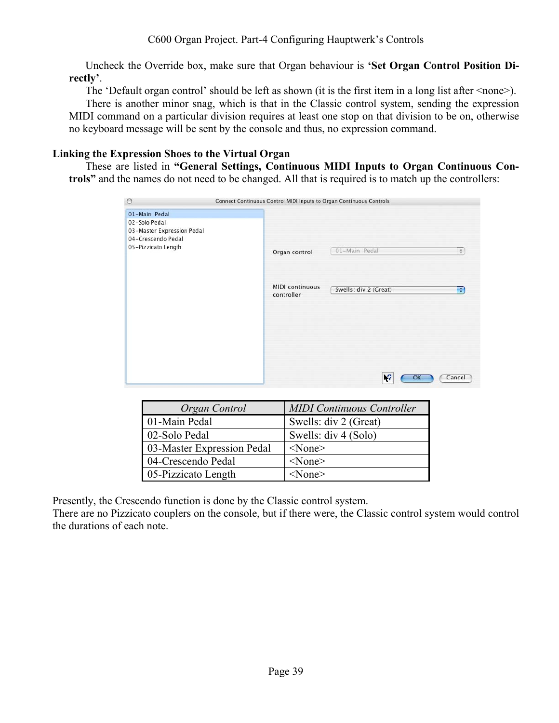Uncheck the Override box, make sure that Organ behaviour is **'Set Organ Control Position Directly'**.

The 'Default organ control' should be left as shown (it is the first item in a long list after <none>). There is another minor snag, which is that in the Classic control system, sending the expression MIDI command on a particular division requires at least one stop on that division to be on, otherwise no keyboard message will be sent by the console and thus, no expression command.

# **Linking the Expression Shoes to the Virtual Organ**

These are listed in **"General Settings, Continuous MIDI Inputs to Organ Continuous Controls"** and the names do not need to be changed. All that is required is to match up the controllers:

| $\circ$                                                                                                   | Connect Continuous Control MIDI Inputs to Organ Continuous Controls |
|-----------------------------------------------------------------------------------------------------------|---------------------------------------------------------------------|
| 01-Main Pedal<br>02-Solo Pedal<br>03-Master Expression Pedal<br>04-Crescendo Pedal<br>05-Pizzicato Length | 01-Main Pedal<br>$\Rightarrow$<br>Organ control                     |
|                                                                                                           | MIDI continuous<br>Swells: div 2 (Great)<br>a<br>controller         |
|                                                                                                           | $\sqrt{2}$<br>Cancel<br>OK                                          |

| Organ Control              | <b>MIDI</b> Continuous Controller |
|----------------------------|-----------------------------------|
| 01-Main Pedal              | Swells: div 2 (Great)             |
| 02-Solo Pedal              | Swells: div 4 (Solo)              |
| 03-Master Expression Pedal | $<$ None $>$                      |
| 04-Crescendo Pedal         | $<$ None $>$                      |
| 05-Pizzicato Length        | $<$ None $>$                      |

Presently, the Crescendo function is done by the Classic control system.

There are no Pizzicato couplers on the console, but if there were, the Classic control system would control the durations of each note.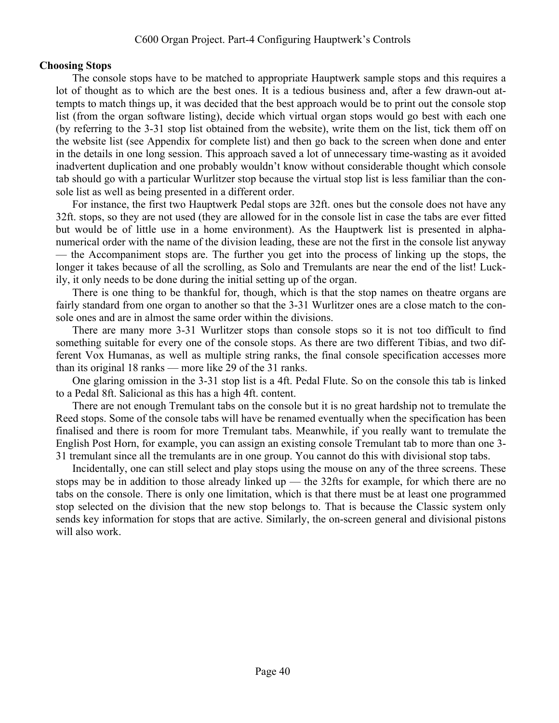# **Choosing Stops**

The console stops have to be matched to appropriate Hauptwerk sample stops and this requires a lot of thought as to which are the best ones. It is a tedious business and, after a few drawn-out attempts to match things up, it was decided that the best approach would be to print out the console stop list (from the organ software listing), decide which virtual organ stops would go best with each one (by referring to the 3-31 stop list obtained from the website), write them on the list, tick them off on the website list (see Appendix for complete list) and then go back to the screen when done and enter in the details in one long session. This approach saved a lot of unnecessary time-wasting as it avoided inadvertent duplication and one probably wouldn't know without considerable thought which console tab should go with a particular Wurlitzer stop because the virtual stop list is less familiar than the console list as well as being presented in a different order.

For instance, the first two Hauptwerk Pedal stops are 32ft. ones but the console does not have any 32ft. stops, so they are not used (they are allowed for in the console list in case the tabs are ever fitted but would be of little use in a home environment). As the Hauptwerk list is presented in alphanumerical order with the name of the division leading, these are not the first in the console list anyway — the Accompaniment stops are. The further you get into the process of linking up the stops, the longer it takes because of all the scrolling, as Solo and Tremulants are near the end of the list! Luckily, it only needs to be done during the initial setting up of the organ.

There is one thing to be thankful for, though, which is that the stop names on theatre organs are fairly standard from one organ to another so that the 3-31 Wurlitzer ones are a close match to the console ones and are in almost the same order within the divisions.

There are many more 3-31 Wurlitzer stops than console stops so it is not too difficult to find something suitable for every one of the console stops. As there are two different Tibias, and two different Vox Humanas, as well as multiple string ranks, the final console specification accesses more than its original 18 ranks — more like 29 of the 31 ranks.

One glaring omission in the 3-31 stop list is a 4ft. Pedal Flute. So on the console this tab is linked to a Pedal 8ft. Salicional as this has a high 4ft. content.

There are not enough Tremulant tabs on the console but it is no great hardship not to tremulate the Reed stops. Some of the console tabs will have be renamed eventually when the specification has been finalised and there is room for more Tremulant tabs. Meanwhile, if you really want to tremulate the English Post Horn, for example, you can assign an existing console Tremulant tab to more than one 3- 31 tremulant since all the tremulants are in one group. You cannot do this with divisional stop tabs.

Incidentally, one can still select and play stops using the mouse on any of the three screens. These stops may be in addition to those already linked up — the 32fts for example, for which there are no tabs on the console. There is only one limitation, which is that there must be at least one programmed stop selected on the division that the new stop belongs to. That is because the Classic system only sends key information for stops that are active. Similarly, the on-screen general and divisional pistons will also work.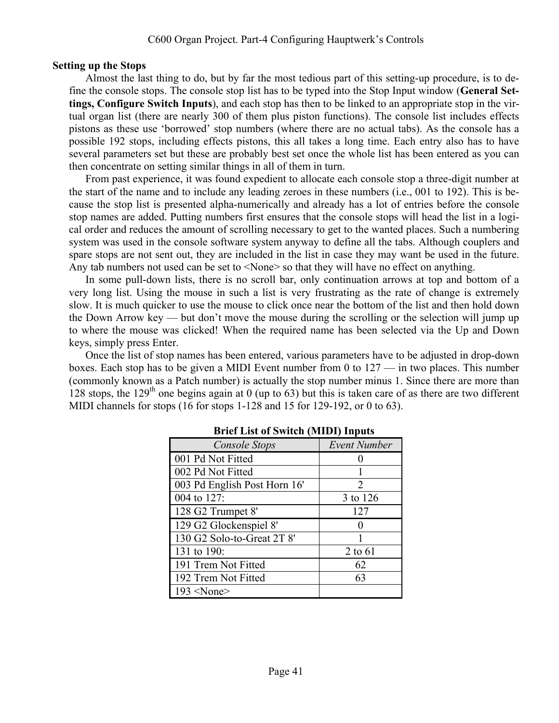# **Setting up the Stops**

Almost the last thing to do, but by far the most tedious part of this setting-up procedure, is to define the console stops. The console stop list has to be typed into the Stop Input window (**General Settings, Configure Switch Inputs**), and each stop has then to be linked to an appropriate stop in the virtual organ list (there are nearly 300 of them plus piston functions). The console list includes effects pistons as these use 'borrowed' stop numbers (where there are no actual tabs). As the console has a possible 192 stops, including effects pistons, this all takes a long time. Each entry also has to have several parameters set but these are probably best set once the whole list has been entered as you can then concentrate on setting similar things in all of them in turn.

From past experience, it was found expedient to allocate each console stop a three-digit number at the start of the name and to include any leading zeroes in these numbers (i.e., 001 to 192). This is because the stop list is presented alpha-numerically and already has a lot of entries before the console stop names are added. Putting numbers first ensures that the console stops will head the list in a logical order and reduces the amount of scrolling necessary to get to the wanted places. Such a numbering system was used in the console software system anyway to define all the tabs. Although couplers and spare stops are not sent out, they are included in the list in case they may want be used in the future. Any tab numbers not used can be set to <None> so that they will have no effect on anything.

In some pull-down lists, there is no scroll bar, only continuation arrows at top and bottom of a very long list. Using the mouse in such a list is very frustrating as the rate of change is extremely slow. It is much quicker to use the mouse to click once near the bottom of the list and then hold down the Down Arrow key — but don't move the mouse during the scrolling or the selection will jump up to where the mouse was clicked! When the required name has been selected via the Up and Down keys, simply press Enter.

Once the list of stop names has been entered, various parameters have to be adjusted in drop-down boxes. Each stop has to be given a MIDI Event number from 0 to 127 — in two places. This number (commonly known as a Patch number) is actually the stop number minus 1. Since there are more than 128 stops, the 129<sup>th</sup> one begins again at 0 (up to 63) but this is taken care of as there are two different MIDI channels for stops (16 for stops 1-128 and 15 for 129-192, or 0 to 63).

| Console Stops                | <b>Event Number</b>         |
|------------------------------|-----------------------------|
| 001 Pd Not Fitted            |                             |
| 002 Pd Not Fitted            |                             |
| 003 Pd English Post Horn 16' | $\mathcal{D}_{\mathcal{L}}$ |
| 004 to 127:                  | 3 to 126                    |
| 128 G2 Trumpet 8'            | 127                         |
| 129 G2 Glockenspiel 8'       |                             |
| 130 G2 Solo-to-Great 2T 8'   |                             |
| 131 to 190:                  | 2 to 61                     |
| 191 Trem Not Fitted          | 62                          |
| 192 Trem Not Fitted          | 63                          |
| $193$ <none></none>          |                             |

# **Brief List of Switch (MIDI) Inputs**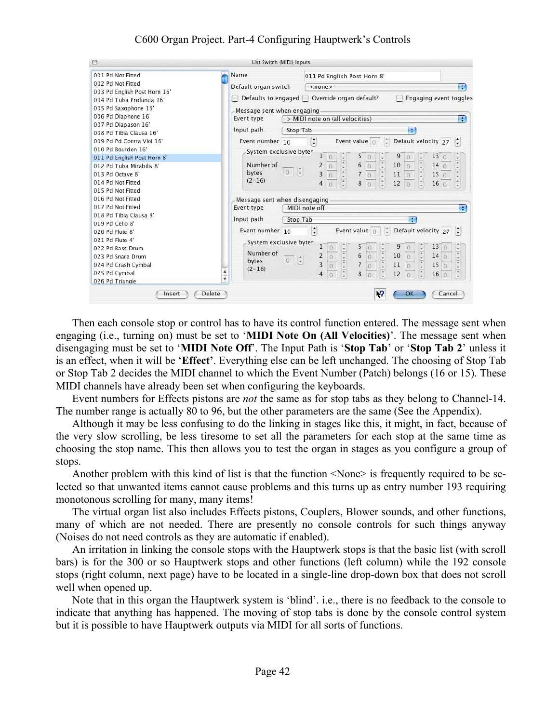# C600 Organ Project. Part-4 Configuring Hauptwerk's Controls

| $\circ$                                                                                                                                                                                                                                                                                                                                                | List Switch (MIDI) Inputs                                                                                                                                                                                                                                                                                                                                                                                                                                                                                                                                                                                                                                                                                                                   |
|--------------------------------------------------------------------------------------------------------------------------------------------------------------------------------------------------------------------------------------------------------------------------------------------------------------------------------------------------------|---------------------------------------------------------------------------------------------------------------------------------------------------------------------------------------------------------------------------------------------------------------------------------------------------------------------------------------------------------------------------------------------------------------------------------------------------------------------------------------------------------------------------------------------------------------------------------------------------------------------------------------------------------------------------------------------------------------------------------------------|
| 001 Pd Not Fitted<br>002 Pd Not Fitted<br>003 Pd English Post Horn 16'<br>004 Pd Tuba Profunda 16'<br>005 Pd Saxophone 16'<br>006 Pd Diaphone 16'<br>007 Pd Diapason 16'<br>008 Pd Tibia Clausa 16'<br>009 Pd Pd Contra Viol 16'<br>010 Pd Bourdon 16'                                                                                                 | Name<br>011 Pd English Post Horn 8'<br>Default organ switch<br>F<br>$<$ none $>$<br>Defaults to engaged   Override organ default?<br>Engaging event toggles<br>Message sent when engaging<br>Event type<br>> MIDI note on (all velocities)<br>and i<br>Input path<br>Stop Tab<br>÷<br>$\left[\frac{\bullet}{\bullet}\right]$<br>Default velocity $27 \div$<br>Event value $\int$<br>Event number 10<br>System exclusive byter<br>9<br>13<br>5                                                                                                                                                                                                                                                                                               |
| 011 Pd English Post Horn 8'<br>012 Pd Tuba Mirabilis 8'<br>013 Pd Octave 8'<br>014 Pd Not Fitted<br>015 Pd Not Fitted<br>016 Pd Not Fitted<br>017 Pd Not Fitted<br>018 Pd Tibia Clausa 8'<br>019 Pd Cello 8'<br>020 Pd Flute 8'<br>021 Pd Flute 4'<br>022 Pd Bass Drum<br>023 Pd Snare Drum<br>024 Pd Crash Cymbal<br>025 Pd Cymbal<br>026 Pd Triangle | $\frac{1}{2} \left( \frac{1}{2} + \frac{1}{2} \right) \left( \frac{1}{2} + \frac{1}{2} \right)$<br>$\frac{1}{\tau}$<br>$\left(\frac{\lambda}{\tau}\right)$<br>$\frac{1}{\sqrt{2}}$<br>$\begin{array}{c} 6 \\ 7 \end{array}$<br>$10\,$<br>Number of<br>140<br>$\sqrt{0}$<br>2<br>$\mathbf{0}$<br>$\mathbf{O}$<br>$\overline{\mathbf{3}}$<br>$\frac{1}{2}$<br>$\frac{1}{2}$<br>0 <sub>x</sub><br>bytes<br>$11\,$<br>15<br>$\circ$<br>$\circ$<br>$\circ$<br>$\overline{O}$<br>$(2 - 16)$<br>12<br>8<br>16<br>4<br>$\overline{0}$<br>$\Omega$<br>$\theta$<br>Message sent when disengaging<br>MIDI note off<br><b>R</b><br>Event type                                                                                                           |
|                                                                                                                                                                                                                                                                                                                                                        | Input path<br>Stop Tab<br>÷<br>$\left  \begin{array}{c} \bullet \\ \bullet \end{array} \right $<br>$ \ddot{\circ} $<br>Default velocity $27 \div$<br>Event number 10<br>Event value $\circ$<br>System exclusive byter<br>13<br>9<br>5<br>$\frac{\ast}{\ast}$<br>Number of<br>$\left  \frac{\pi}{\tau} \right $<br>$+5(4)$<br>$\begin{array}{c} 6 \\ 7 \end{array}$<br>$10\,$<br>14<br>$\overline{2}$<br>$\overline{0}$<br>$\cal O$<br>$\overline{\mathbf{0}}$<br>$0 \frac{1}{2}$<br>bytes<br>$\overline{3}$<br>$\frac{1}{7}$<br>$11\,$<br>15<br>$\boldsymbol{0}$<br>$\,0\,$<br>$\sqrt{0}$<br>$\Omega$<br>$(2 - 16)$<br>$rac{1}{\tau}$<br>▲<br>$rac{1}{\pi}$<br>8<br>12<br>16<br>4<br>$\Omega$<br>$\overline{0}$<br>$\Omega$<br>$\circ$<br>¥ |
| Insert                                                                                                                                                                                                                                                                                                                                                 | N,<br>Delete<br>OK<br>Cancel                                                                                                                                                                                                                                                                                                                                                                                                                                                                                                                                                                                                                                                                                                                |

Then each console stop or control has to have its control function entered. The message sent when engaging (i.e., turning on) must be set to '**MIDI Note On (All Velocities)**'. The message sent when disengaging must be set to '**MIDI Note Off**'. The Input Path is '**Stop Tab**' or '**Stop Tab 2**' unless it is an effect, when it will be '**Effect'**. Everything else can be left unchanged. The choosing of Stop Tab or Stop Tab 2 decides the MIDI channel to which the Event Number (Patch) belongs (16 or 15). These MIDI channels have already been set when configuring the keyboards.

Event numbers for Effects pistons are *not* the same as for stop tabs as they belong to Channel-14. The number range is actually 80 to 96, but the other parameters are the same (See the Appendix).

Although it may be less confusing to do the linking in stages like this, it might, in fact, because of the very slow scrolling, be less tiresome to set all the parameters for each stop at the same time as choosing the stop name. This then allows you to test the organ in stages as you configure a group of stops.

Another problem with this kind of list is that the function <None> is frequently required to be selected so that unwanted items cannot cause problems and this turns up as entry number 193 requiring monotonous scrolling for many, many items!

The virtual organ list also includes Effects pistons, Couplers, Blower sounds, and other functions, many of which are not needed. There are presently no console controls for such things anyway (Noises do not need controls as they are automatic if enabled).

An irritation in linking the console stops with the Hauptwerk stops is that the basic list (with scroll bars) is for the 300 or so Hauptwerk stops and other functions (left column) while the 192 console stops (right column, next page) have to be located in a single-line drop-down box that does not scroll well when opened up.

Note that in this organ the Hauptwerk system is 'blind'. i.e., there is no feedback to the console to indicate that anything has happened. The moving of stop tabs is done by the console control system but it is possible to have Hauptwerk outputs via MIDI for all sorts of functions.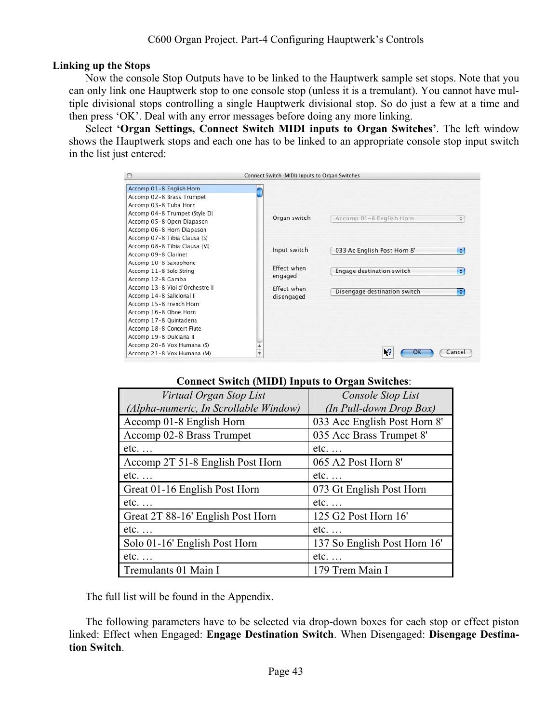# **Linking up the Stops**

Now the console Stop Outputs have to be linked to the Hauptwerk sample set stops. Note that you can only link one Hauptwerk stop to one console stop (unless it is a tremulant). You cannot have multiple divisional stops controlling a single Hauptwerk divisional stop. So do just a few at a time and then press 'OK'. Deal with any error messages before doing any more linking.

Select **'Organ Settings, Connect Switch MIDI inputs to Organ Switches'**. The left window shows the Hauptwerk stops and each one has to be linked to an appropriate console stop input switch in the list just entered:

| $\circ$                         | Connect Switch (MIDI) Inputs to Organ Switches |                              |                |
|---------------------------------|------------------------------------------------|------------------------------|----------------|
| Accomp 01-8 English Horn        |                                                |                              |                |
| Accomp 02-8 Brass Trumpet       |                                                |                              |                |
| Accomp 03-8 Tuba Horn           |                                                |                              |                |
| Accomp 04-8 Trumpet (Style D)   |                                                |                              |                |
| Accomp 05-8 Open Diapason       | Organ switch                                   | Accomp 01-8 English Horn     | $\ddot{\cdot}$ |
| Accomp 06-8 Horn Diapason       |                                                |                              |                |
| Accomp 07-8 Tibia Clausa (S)    |                                                |                              |                |
| Accomp 08-8 Tibia Clausa (M)    | Input switch                                   | 033 Ac English Post Horn 8'  | ÷              |
| Accomp 09-8 Clarinet            |                                                |                              |                |
| Accomp 10-8 Saxophone           | <b>Fffect when</b>                             |                              |                |
| Accomp 11-8 Solo String         |                                                | Engage destination switch    | ÷              |
| Accomp 12-8 Gamba               | engaged                                        |                              |                |
| Accomp 13-8 Viol d'Orchestre II | <b>Fffect when</b>                             | Disengage destination switch | ÷              |
| Accomp 14-8 Salicional II       | disengaged                                     |                              |                |
| Accomp 15-8 French Horn         |                                                |                              |                |
| Accomp 16-8 Oboe Horn           |                                                |                              |                |
| Accomp 17-8 Quintadena          |                                                |                              |                |
| Accomp 18-8 Concert Flute       |                                                |                              |                |
| Accomp 19-8 Dulciana II         |                                                |                              |                |
| Accomp 20-8 Vox Humana (S)      |                                                |                              |                |
| Accomp 21-8 Vox Humana (M)      | ¥                                              | ١9                           | Cancel         |

# **Connect Switch (MIDI) Inputs to Organ Switches**:

| Virtual Organ Stop List               | Console Stop List            |
|---------------------------------------|------------------------------|
| (Alpha-numeric, In Scrollable Window) | (In Pull-down Drop Box)      |
| Accomp 01-8 English Horn              | 033 Acc English Post Horn 8' |
| Accomp 02-8 Brass Trumpet             | 035 Acc Brass Trumpet 8'     |
| $etc. \ldots$                         | $etc. \ldots$                |
| Accomp 2T 51-8 English Post Horn      | 065 A2 Post Horn 8'          |
| $etc. \ldots$                         | $etc. \ldots$                |
| Great 01-16 English Post Horn         | 073 Gt English Post Horn     |
| $etc. \ldots$                         | $etc. \ldots$                |
| Great 2T 88-16' English Post Horn     | 125 G2 Post Horn 16'         |
| $etc. \ldots$                         | $etc. \ldots$                |
| Solo 01-16' English Post Horn         | 137 So English Post Horn 16' |
| $etc. \ldots$                         | $etc. \ldots$                |
| Tremulants 01 Main I                  | 179 Trem Main I              |

The full list will be found in the Appendix.

The following parameters have to be selected via drop-down boxes for each stop or effect piston linked: Effect when Engaged: **Engage Destination Switch**. When Disengaged: **Disengage Destination Switch**.